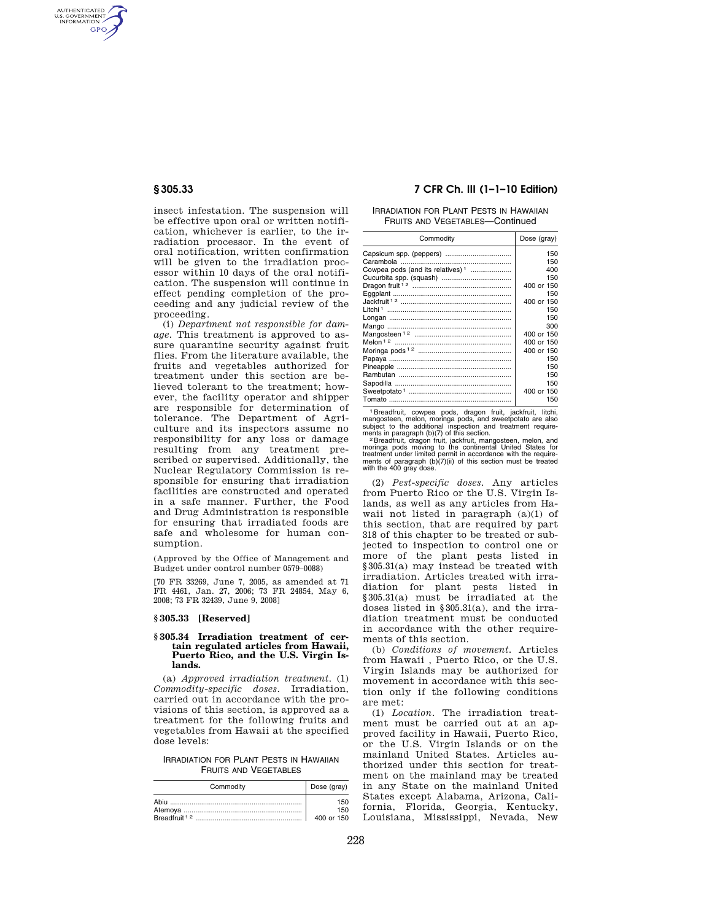AUTHENTICATED<br>U.S. GOVERNMENT<br>INFORMATION **GPO** 

> insect infestation. The suspension will be effective upon oral or written notification, whichever is earlier, to the irradiation processor. In the event of oral notification, written confirmation will be given to the irradiation processor within 10 days of the oral notification. The suspension will continue in effect pending completion of the proceeding and any judicial review of the proceeding.

> (i) *Department not responsible for damage.* This treatment is approved to assure quarantine security against fruit flies. From the literature available, the fruits and vegetables authorized for treatment under this section are believed tolerant to the treatment; however, the facility operator and shipper are responsible for determination of tolerance. The Department of Agriculture and its inspectors assume no responsibility for any loss or damage resulting from any treatment prescribed or supervised. Additionally, the Nuclear Regulatory Commission is responsible for ensuring that irradiation facilities are constructed and operated in a safe manner. Further, the Food and Drug Administration is responsible for ensuring that irradiated foods are safe and wholesome for human consumption.

(Approved by the Office of Management and Budget under control number 0579–0088)

[70 FR 33269, June 7, 2005, as amended at 71 FR 4461, Jan. 27, 2006; 73 FR 24854, May 6, 2008; 73 FR 32439, June 9, 2008]

## **§ 305.33 [Reserved]**

### **§ 305.34 Irradiation treatment of certain regulated articles from Hawaii, Puerto Rico, and the U.S. Virgin Islands.**

(a) *Approved irradiation treatment*. (1) *Commodity-specific doses*. Irradiation, carried out in accordance with the provisions of this section, is approved as a treatment for the following fruits and vegetables from Hawaii at the specified dose levels:

IRRADIATION FOR PLANT PESTS IN HAWAIIAN FRUITS AND VEGETABLES

| Commodity | Dose (gray) |
|-----------|-------------|
|           | 150         |
|           | 150         |
|           | 400 or 150  |

# **§ 305.33 7 CFR Ch. III (1–1–10 Edition)**

IRRADIATION FOR PLANT PESTS IN HAWAIIAN FRUITS AND VEGETABLES—Continued

| Commodity                                    | Dose (gray) |
|----------------------------------------------|-------------|
|                                              | 150         |
|                                              | 150         |
| Cowpea pods (and its relatives) <sup>1</sup> | 400         |
|                                              | 150         |
|                                              | 400 or 150  |
|                                              | 150         |
|                                              | 400 or 150  |
|                                              | 150         |
|                                              | 150         |
|                                              | 300         |
|                                              | 400 or 150  |
|                                              | 400 or 150  |
|                                              | 400 or 150  |
|                                              | 150         |
|                                              | 150         |
|                                              | 150         |
|                                              | 150         |
|                                              | 400 or 150  |
|                                              | 150         |

<sup>1</sup> Breadfruit, cowpea pods, dragon fruit, jackfruit, litchi, mangosteen, melon, moringa pods, and sweetpotato are also subject to the additional inspection and treatment requirements in paragraph (b)(7) of this section.<br>

(2) *Pest-specific doses*. Any articles from Puerto Rico or the U.S. Virgin Islands, as well as any articles from Hawaii not listed in paragraph (a)(1) of this section, that are required by part 318 of this chapter to be treated or subjected to inspection to control one or more of the plant pests listed in §305.31(a) may instead be treated with irradiation. Articles treated with irradiation for plant pests listed in §305.31(a) must be irradiated at the doses listed in §305.31(a), and the irradiation treatment must be conducted in accordance with the other requirements of this section.

(b) *Conditions of movement.* Articles from Hawaii , Puerto Rico, or the U.S. Virgin Islands may be authorized for movement in accordance with this section only if the following conditions are met:

(1) *Location.* The irradiation treatment must be carried out at an approved facility in Hawaii, Puerto Rico, or the U.S. Virgin Islands or on the mainland United States. Articles authorized under this section for treatment on the mainland may be treated in any State on the mainland United States except Alabama, Arizona, California, Florida, Georgia, Kentucky, Louisiana, Mississippi, Nevada, New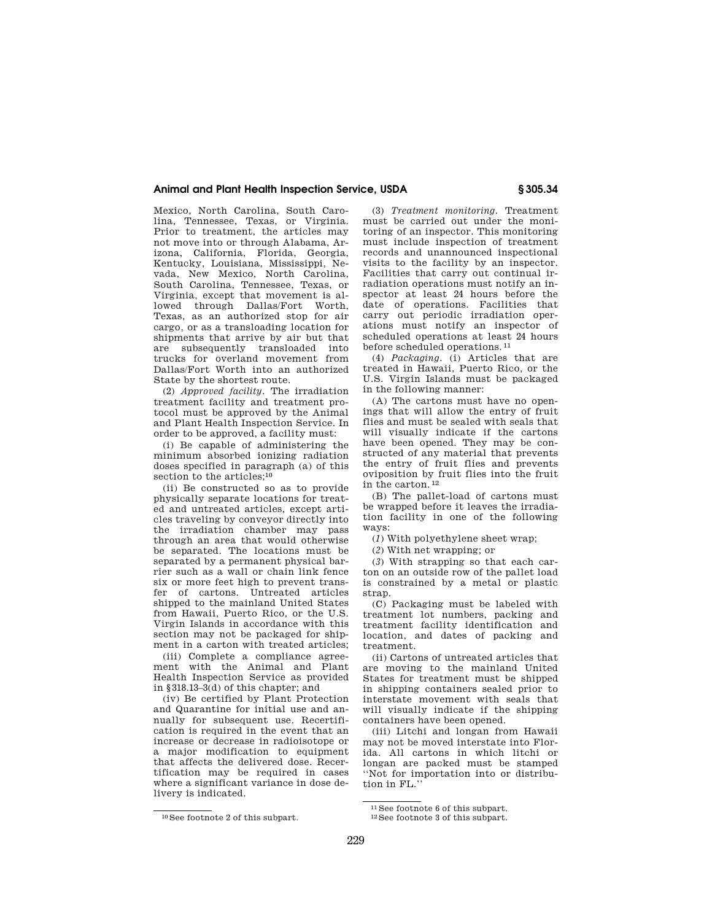# **Animal and Plant Health Inspection Service, USDA § 305.34**

Mexico, North Carolina, South Carolina, Tennessee, Texas, or Virginia. Prior to treatment, the articles may not move into or through Alabama, Arizona, California, Florida, Georgia, Kentucky, Louisiana, Mississippi, Nevada, New Mexico, North Carolina, South Carolina, Tennessee, Texas, or Virginia, except that movement is allowed through Dallas/Fort Worth, Texas, as an authorized stop for air cargo, or as a transloading location for shipments that arrive by air but that are subsequently transloaded into trucks for overland movement from Dallas/Fort Worth into an authorized State by the shortest route.

(2) *Approved facility.* The irradiation treatment facility and treatment protocol must be approved by the Animal and Plant Health Inspection Service. In order to be approved, a facility must:

(i) Be capable of administering the minimum absorbed ionizing radiation doses specified in paragraph (a) of this section to the articles:<sup>10</sup>

(ii) Be constructed so as to provide physically separate locations for treated and untreated articles, except articles traveling by conveyor directly into the irradiation chamber may pass through an area that would otherwise be separated. The locations must be separated by a permanent physical barrier such as a wall or chain link fence six or more feet high to prevent transfer of cartons. Untreated articles shipped to the mainland United States from Hawaii, Puerto Rico, or the U.S. Virgin Islands in accordance with this section may not be packaged for shipment in a carton with treated articles;

(iii) Complete a compliance agreement with the Animal and Plant Health Inspection Service as provided in §318.13–3(d) of this chapter; and

(iv) Be certified by Plant Protection and Quarantine for initial use and annually for subsequent use. Recertification is required in the event that an increase or decrease in radioisotope or a major modification to equipment that affects the delivered dose. Recertification may be required in cases where a significant variance in dose delivery is indicated.

(3) *Treatment monitoring.* Treatment must be carried out under the monitoring of an inspector. This monitoring must include inspection of treatment records and unannounced inspectional visits to the facility by an inspector. Facilities that carry out continual irradiation operations must notify an inspector at least 24 hours before the date of operations. Facilities that carry out periodic irradiation operations must notify an inspector of scheduled operations at least 24 hours before scheduled operations. 11

(4) *Packaging.* (i) Articles that are treated in Hawaii, Puerto Rico, or the U.S. Virgin Islands must be packaged in the following manner:

(A) The cartons must have no openings that will allow the entry of fruit flies and must be sealed with seals that will visually indicate if the cartons have been opened. They may be constructed of any material that prevents the entry of fruit flies and prevents oviposition by fruit flies into the fruit in the carton. 12

(B) The pallet-load of cartons must be wrapped before it leaves the irradiation facility in one of the following ways:

(*1*) With polyethylene sheet wrap;

(*2*) With net wrapping; or

(*3*) With strapping so that each carton on an outside row of the pallet load is constrained by a metal or plastic strap.

(C) Packaging must be labeled with treatment lot numbers, packing and treatment facility identification and location, and dates of packing and treatment.

(ii) Cartons of untreated articles that are moving to the mainland United States for treatment must be shipped in shipping containers sealed prior to interstate movement with seals that will visually indicate if the shipping containers have been opened.

(iii) Litchi and longan from Hawaii may not be moved interstate into Florida. All cartons in which litchi or longan are packed must be stamped ''Not for importation into or distribution in FL.''

<sup>10</sup> See footnote 2 of this subpart.

 $^{11}$  See footnote 6 of this subpart.<br> $^{12}$  See footnote 3 of this subpart.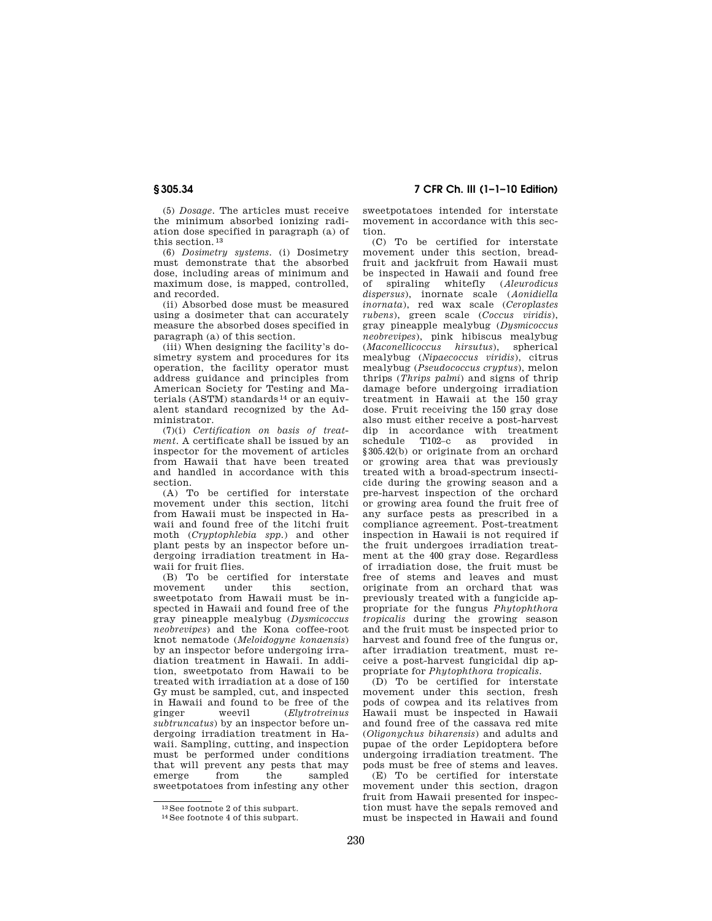**§ 305.34 7 CFR Ch. III (1–1–10 Edition)** 

(5) *Dosage.* The articles must receive the minimum absorbed ionizing radiation dose specified in paragraph (a) of this section  $13$ 

(6) *Dosimetry systems.* (i) Dosimetry must demonstrate that the absorbed dose, including areas of minimum and maximum dose, is mapped, controlled, and recorded.

(ii) Absorbed dose must be measured using a dosimeter that can accurately measure the absorbed doses specified in paragraph (a) of this section.

(iii) When designing the facility's dosimetry system and procedures for its operation, the facility operator must address guidance and principles from American Society for Testing and Materials (ASTM) standards 14 or an equivalent standard recognized by the Administrator.

(7)(i) *Certification on basis of treatment*. A certificate shall be issued by an inspector for the movement of articles from Hawaii that have been treated and handled in accordance with this section.

(A) To be certified for interstate movement under this section, litchi from Hawaii must be inspected in Hawaii and found free of the litchi fruit moth (*Cryptophlebia spp.*) and other plant pests by an inspector before undergoing irradiation treatment in Hawaii for fruit flies.

(B) To be certified for interstate<br>movement under this section under this section. sweetpotato from Hawaii must be inspected in Hawaii and found free of the gray pineapple mealybug (*Dysmicoccus neobrevipes*) and the Kona coffee-root knot nematode (*Meloidogyne konaensis*) by an inspector before undergoing irradiation treatment in Hawaii. In addition, sweetpotato from Hawaii to be treated with irradiation at a dose of 150 Gy must be sampled, cut, and inspected in Hawaii and found to be free of the<br>ginger weevil (Elutrotreinus ginger weevil (*Elytrotreinus subtruncatus*) by an inspector before undergoing irradiation treatment in Hawaii. Sampling, cutting, and inspection must be performed under conditions that will prevent any pests that may emerge from the sampled sweetpotatoes from infesting any other

sweetpotatoes intended for interstate movement in accordance with this section.

(C) To be certified for interstate movement under this section, breadfruit and jackfruit from Hawaii must be inspected in Hawaii and found free of spiraling whitefly (*Aleurodicus dispersus*), inornate scale (*Aonidiella inornata*), red wax scale (*Ceroplastes rubens*), green scale (*Coccus viridis*), gray pineapple mealybug (*Dysmicoccus neobrevipes*), pink hibiscus mealybug (*Maconellicoccus hirsutus*), spherical mealybug (*Nipaecoccus viridis*), citrus mealybug (*Pseudococcus cryptus*), melon thrips (*Thrips palmi*) and signs of thrip damage before undergoing irradiation treatment in Hawaii at the 150 gray dose. Fruit receiving the 150 gray dose also must either receive a post-harvest dip in accordance with treatment schedule T102–c as provided in §305.42(b) or originate from an orchard or growing area that was previously treated with a broad-spectrum insecticide during the growing season and a pre-harvest inspection of the orchard or growing area found the fruit free of any surface pests as prescribed in a compliance agreement. Post-treatment inspection in Hawaii is not required if the fruit undergoes irradiation treatment at the 400 gray dose. Regardless of irradiation dose, the fruit must be free of stems and leaves and must originate from an orchard that was previously treated with a fungicide appropriate for the fungus *Phytophthora tropicalis* during the growing season and the fruit must be inspected prior to harvest and found free of the fungus or, after irradiation treatment, must receive a post-harvest fungicidal dip appropriate for *Phytophthora tropicalis*.

(D) To be certified for interstate movement under this section, fresh pods of cowpea and its relatives from Hawaii must be inspected in Hawaii and found free of the cassava red mite (*Oligonychus biharensis*) and adults and pupae of the order Lepidoptera before undergoing irradiation treatment. The pods must be free of stems and leaves.

(E) To be certified for interstate movement under this section, dragon fruit from Hawaii presented for inspection must have the sepals removed and must be inspected in Hawaii and found

 $^{13}\mathrm{See}$  footnote 2 of this subpart.  $^{14}\mathrm{See}$  footnote 4 of this subpart.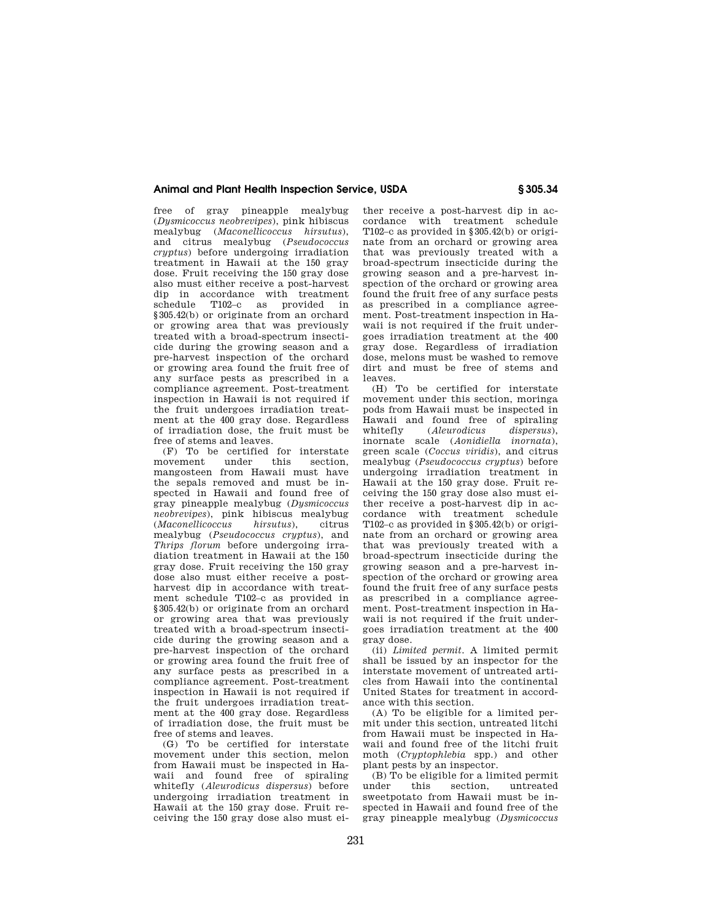# **Animal and Plant Health Inspection Service, USDA § 305.34**

free of gray pineapple mealybug (*Dysmicoccus neobrevipes*), pink hibiscus mealybug (*Maconellicoccus hirsutus*), and citrus mealybug (*Pseudococcus cryptus*) before undergoing irradiation treatment in Hawaii at the 150 gray dose. Fruit receiving the 150 gray dose also must either receive a post-harvest dip in accordance with treatment schedule T102–c as provided in §305.42(b) or originate from an orchard or growing area that was previously treated with a broad-spectrum insecticide during the growing season and a pre-harvest inspection of the orchard or growing area found the fruit free of any surface pests as prescribed in a compliance agreement. Post-treatment inspection in Hawaii is not required if the fruit undergoes irradiation treatment at the 400 gray dose. Regardless of irradiation dose, the fruit must be free of stems and leaves.

(F) To be certified for interstate movement mangosteen from Hawaii must have the sepals removed and must be inspected in Hawaii and found free of gray pineapple mealybug (*Dysmicoccus neobrevipes*), pink hibiscus mealybug (*Maconellicoccus hirsutus*), citrus mealybug (*Pseudococcus cryptus*), and *Thrips florum* before undergoing irradiation treatment in Hawaii at the 150 gray dose. Fruit receiving the 150 gray dose also must either receive a postharvest dip in accordance with treatment schedule T102–c as provided in §305.42(b) or originate from an orchard or growing area that was previously treated with a broad-spectrum insecticide during the growing season and a pre-harvest inspection of the orchard or growing area found the fruit free of any surface pests as prescribed in a compliance agreement. Post-treatment inspection in Hawaii is not required if the fruit undergoes irradiation treatment at the 400 gray dose. Regardless of irradiation dose, the fruit must be free of stems and leaves.

(G) To be certified for interstate movement under this section, melon from Hawaii must be inspected in Hawaii and found free of spiraling whitefly (*Aleurodicus dispersus*) before undergoing irradiation treatment in Hawaii at the 150 gray dose. Fruit receiving the 150 gray dose also must either receive a post-harvest dip in accordance with treatment schedule T102–c as provided in §305.42(b) or originate from an orchard or growing area that was previously treated with a broad-spectrum insecticide during the growing season and a pre-harvest inspection of the orchard or growing area found the fruit free of any surface pests as prescribed in a compliance agreement. Post-treatment inspection in Hawaii is not required if the fruit undergoes irradiation treatment at the 400 gray dose. Regardless of irradiation dose, melons must be washed to remove dirt and must be free of stems and leaves.

(H) To be certified for interstate movement under this section, moringa pods from Hawaii must be inspected in Hawaii and found free of spiraling<br>whitefly (Aleurodicus dispersus). whitefly (*Aleurodicus dispersus*), inornate scale (*Aonidiella inornata*), green scale (*Coccus viridis*), and citrus mealybug (*Pseudococcus cryptus*) before undergoing irradiation treatment in Hawaii at the 150 gray dose. Fruit receiving the 150 gray dose also must either receive a post-harvest dip in accordance with treatment schedule T102–c as provided in §305.42(b) or originate from an orchard or growing area that was previously treated with a broad-spectrum insecticide during the growing season and a pre-harvest inspection of the orchard or growing area found the fruit free of any surface pests as prescribed in a compliance agreement. Post-treatment inspection in Hawaii is not required if the fruit undergoes irradiation treatment at the 400 gray dose.

(ii) *Limited permit*. A limited permit shall be issued by an inspector for the interstate movement of untreated articles from Hawaii into the continental United States for treatment in accordance with this section.

(A) To be eligible for a limited permit under this section, untreated litchi from Hawaii must be inspected in Hawaii and found free of the litchi fruit moth (*Cryptophlebia* spp.) and other plant pests by an inspector.

(B) To be eligible for a limited permit section, untreated sweetpotato from Hawaii must be inspected in Hawaii and found free of the gray pineapple mealybug (*Dysmicoccus*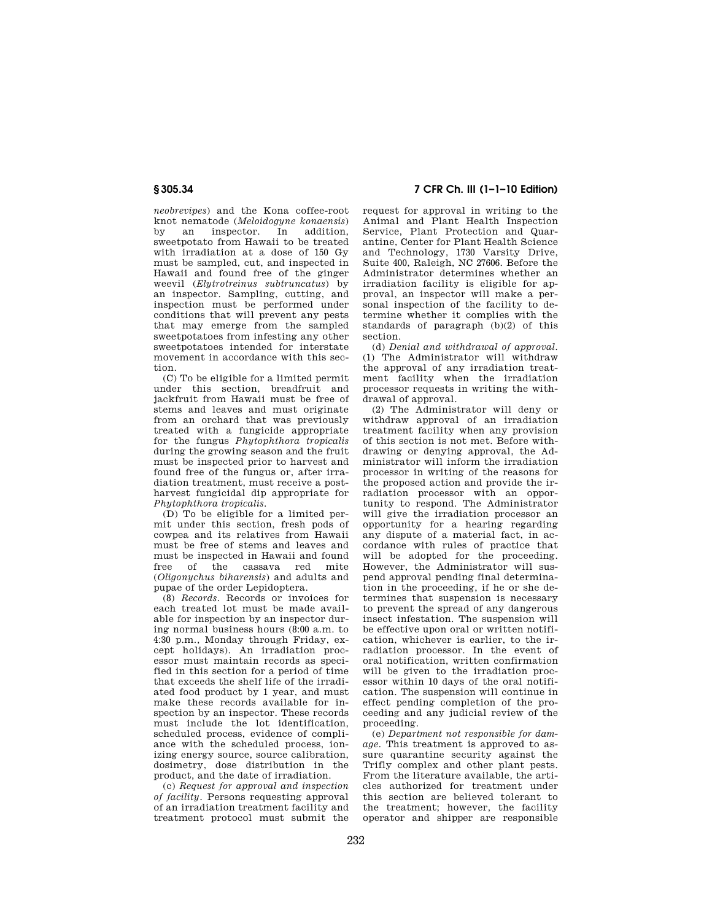*neobrevipes*) and the Kona coffee-root knot nematode (*Meloidogyne konaensis*) by an inspector. In addition, sweetpotato from Hawaii to be treated with irradiation at a dose of 150 Gy must be sampled, cut, and inspected in Hawaii and found free of the ginger weevil (*Elytrotreinus subtruncatus*) by an inspector. Sampling, cutting, and inspection must be performed under conditions that will prevent any pests that may emerge from the sampled sweetpotatoes from infesting any other sweetpotatoes intended for interstate movement in accordance with this section.

(C) To be eligible for a limited permit under this section, breadfruit and jackfruit from Hawaii must be free of stems and leaves and must originate from an orchard that was previously treated with a fungicide appropriate for the fungus *Phytophthora tropicalis*  during the growing season and the fruit must be inspected prior to harvest and found free of the fungus or, after irradiation treatment, must receive a postharvest fungicidal dip appropriate for *Phytophthora tropicalis*.

(D) To be eligible for a limited permit under this section, fresh pods of cowpea and its relatives from Hawaii must be free of stems and leaves and must be inspected in Hawaii and found free of the cassava red mite (*Oligonychus biharensis*) and adults and pupae of the order Lepidoptera.

(8) *Records.* Records or invoices for each treated lot must be made available for inspection by an inspector during normal business hours (8:00 a.m. to 4:30 p.m., Monday through Friday, except holidays). An irradiation processor must maintain records as specified in this section for a period of time that exceeds the shelf life of the irradiated food product by 1 year, and must make these records available for inspection by an inspector. These records must include the lot identification, scheduled process, evidence of compliance with the scheduled process, ionizing energy source, source calibration, dosimetry, dose distribution in the product, and the date of irradiation.

(c) *Request for approval and inspection of facility.* Persons requesting approval of an irradiation treatment facility and treatment protocol must submit the

**§ 305.34 7 CFR Ch. III (1–1–10 Edition)** 

request for approval in writing to the Animal and Plant Health Inspection Service, Plant Protection and Quarantine, Center for Plant Health Science and Technology, 1730 Varsity Drive, Suite 400, Raleigh, NC 27606. Before the Administrator determines whether an irradiation facility is eligible for approval, an inspector will make a personal inspection of the facility to determine whether it complies with the standards of paragraph (b)(2) of this section.

(d) *Denial and withdrawal of approval.*  (1) The Administrator will withdraw the approval of any irradiation treatment facility when the irradiation processor requests in writing the withdrawal of approval.

(2) The Administrator will deny or withdraw approval of an irradiation treatment facility when any provision of this section is not met. Before withdrawing or denying approval, the Administrator will inform the irradiation processor in writing of the reasons for the proposed action and provide the irradiation processor with an opportunity to respond. The Administrator will give the irradiation processor an opportunity for a hearing regarding any dispute of a material fact, in accordance with rules of practice that will be adopted for the proceeding. However, the Administrator will suspend approval pending final determination in the proceeding, if he or she determines that suspension is necessary to prevent the spread of any dangerous insect infestation. The suspension will be effective upon oral or written notification, whichever is earlier, to the irradiation processor. In the event of oral notification, written confirmation will be given to the irradiation processor within 10 days of the oral notification. The suspension will continue in effect pending completion of the proceeding and any judicial review of the proceeding.

(e) *Department not responsible for damage.* This treatment is approved to assure quarantine security against the Trifly complex and other plant pests. From the literature available, the articles authorized for treatment under this section are believed tolerant to the treatment; however, the facility operator and shipper are responsible